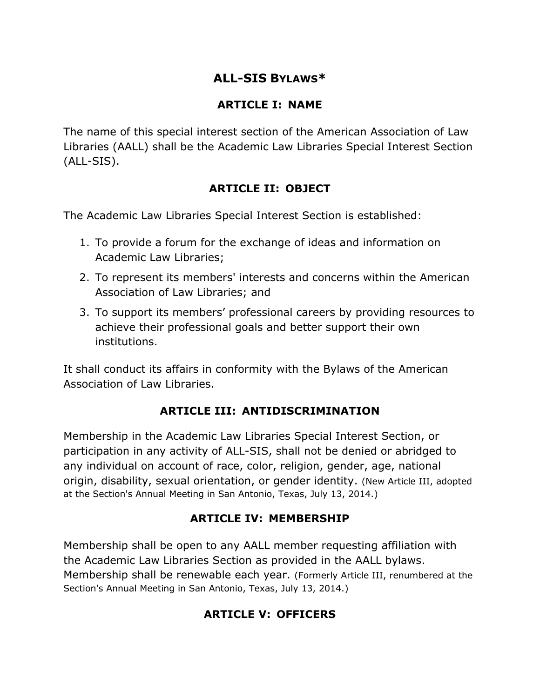# **ALL-SIS BYLAWS\***

#### **ARTICLE I: NAME**

The name of this special interest section of the American Association of Law Libraries (AALL) shall be the Academic Law Libraries Special Interest Section (ALL-SIS).

### **ARTICLE II: OBJECT**

The Academic Law Libraries Special Interest Section is established:

- 1. To provide a forum for the exchange of ideas and information on Academic Law Libraries;
- 2. To represent its members' interests and concerns within the American Association of Law Libraries; and
- 3. To support its members' professional careers by providing resources to achieve their professional goals and better support their own institutions.

It shall conduct its affairs in conformity with the Bylaws of the American Association of Law Libraries.

# **ARTICLE III: ANTIDISCRIMINATION**

Membership in the Academic Law Libraries Special Interest Section, or participation in any activity of ALL-SIS, shall not be denied or abridged to any individual on account of race, color, religion, gender, age, national origin, disability, sexual orientation, or gender identity. (New Article III, adopted at the Section's Annual Meeting in San Antonio, Texas, July 13, 2014.)

# **ARTICLE IV: MEMBERSHIP**

Membership shall be open to any AALL member requesting affiliation with the Academic Law Libraries Section as provided in the AALL bylaws. Membership shall be renewable each year. (Formerly Article III, renumbered at the Section's Annual Meeting in San Antonio, Texas, July 13, 2014.)

# **ARTICLE V: OFFICERS**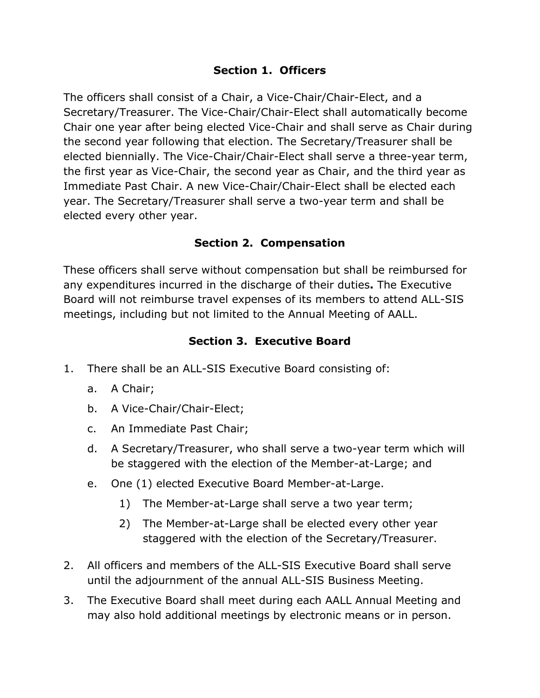#### **Section 1. Officers**

The officers shall consist of a Chair, a Vice-Chair/Chair-Elect, and a Secretary/Treasurer. The Vice-Chair/Chair-Elect shall automatically become Chair one year after being elected Vice-Chair and shall serve as Chair during the second year following that election. The Secretary/Treasurer shall be elected biennially. The Vice-Chair/Chair-Elect shall serve a three-year term, the first year as Vice-Chair, the second year as Chair, and the third year as Immediate Past Chair. A new Vice-Chair/Chair-Elect shall be elected each year. The Secretary/Treasurer shall serve a two-year term and shall be elected every other year.

# **Section 2. Compensation**

These officers shall serve without compensation but shall be reimbursed for any expenditures incurred in the discharge of their duties**.** The Executive Board will not reimburse travel expenses of its members to attend ALL-SIS meetings, including but not limited to the Annual Meeting of AALL.

### **Section 3. Executive Board**

- 1. There shall be an ALL-SIS Executive Board consisting of:
	- a. A Chair;
	- b. A Vice-Chair/Chair-Elect;
	- c. An Immediate Past Chair;
	- d. A Secretary/Treasurer, who shall serve a two-year term which will be staggered with the election of the Member-at-Large; and
	- e. One (1) elected Executive Board Member-at-Large.
		- 1) The Member-at-Large shall serve a two year term;
		- 2) The Member-at-Large shall be elected every other year staggered with the election of the Secretary/Treasurer.
- 2. All officers and members of the ALL-SIS Executive Board shall serve until the adjournment of the annual ALL-SIS Business Meeting.
- 3. The Executive Board shall meet during each AALL Annual Meeting and may also hold additional meetings by electronic means or in person.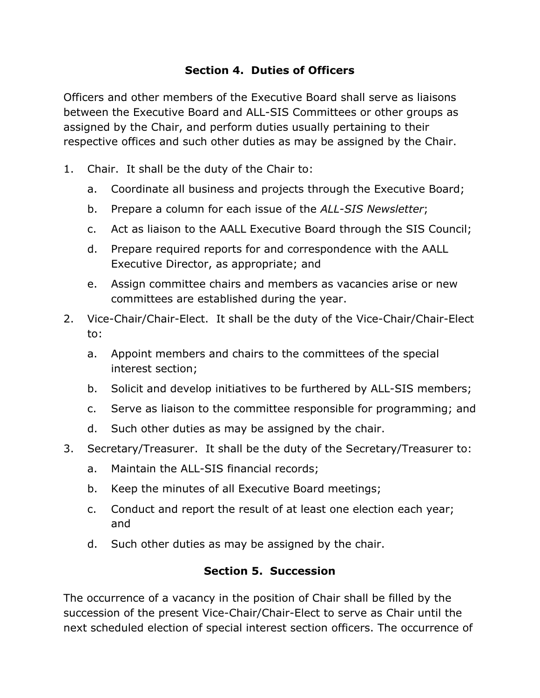### **Section 4. Duties of Officers**

Officers and other members of the Executive Board shall serve as liaisons between the Executive Board and ALL-SIS Committees or other groups as assigned by the Chair, and perform duties usually pertaining to their respective offices and such other duties as may be assigned by the Chair.

- 1. Chair. It shall be the duty of the Chair to:
	- a. Coordinate all business and projects through the Executive Board;
	- b. Prepare a column for each issue of the *ALL-SIS Newsletter*;
	- c. Act as liaison to the AALL Executive Board through the SIS Council;
	- d. Prepare required reports for and correspondence with the AALL Executive Director, as appropriate; and
	- e. Assign committee chairs and members as vacancies arise or new committees are established during the year.
- 2. Vice-Chair/Chair-Elect. It shall be the duty of the Vice-Chair/Chair-Elect to:
	- a. Appoint members and chairs to the committees of the special interest section;
	- b. Solicit and develop initiatives to be furthered by ALL-SIS members;
	- c. Serve as liaison to the committee responsible for programming; and
	- d. Such other duties as may be assigned by the chair.
- 3. Secretary/Treasurer. It shall be the duty of the Secretary/Treasurer to:
	- a. Maintain the ALL-SIS financial records;
	- b. Keep the minutes of all Executive Board meetings;
	- c. Conduct and report the result of at least one election each year; and
	- d. Such other duties as may be assigned by the chair.

#### **Section 5. Succession**

The occurrence of a vacancy in the position of Chair shall be filled by the succession of the present Vice-Chair/Chair-Elect to serve as Chair until the next scheduled election of special interest section officers. The occurrence of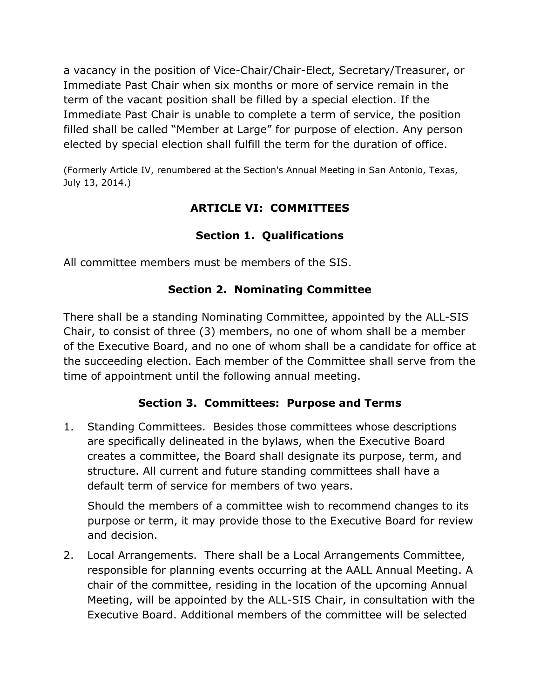a vacancy in the position of Vice-Chair/Chair-Elect, Secretary/Treasurer, or Immediate Past Chair when six months or more of service remain in the term of the vacant position shall be filled by a special election. If the Immediate Past Chair is unable to complete a term of service, the position filled shall be called "Member at Large" for purpose of election. Any person elected by special election shall fulfill the term for the duration of office.

(Formerly Article IV, renumbered at the Section's Annual Meeting in San Antonio, Texas, July 13, 2014.)

# **ARTICLE VI: COMMITTEES**

# **Section 1. Qualifications**

All committee members must be members of the SIS.

### **Section 2. Nominating Committee**

There shall be a standing Nominating Committee, appointed by the ALL-SIS Chair, to consist of three (3) members, no one of whom shall be a member of the Executive Board, and no one of whom shall be a candidate for office at the succeeding election. Each member of the Committee shall serve from the time of appointment until the following annual meeting.

#### **Section 3. Committees: Purpose and Terms**

1. Standing Committees. Besides those committees whose descriptions are specifically delineated in the bylaws, when the Executive Board creates a committee, the Board shall designate its purpose, term, and structure. All current and future standing committees shall have a default term of service for members of two years.

Should the members of a committee wish to recommend changes to its purpose or term, it may provide those to the Executive Board for review and decision.

2. Local Arrangements. There shall be a Local Arrangements Committee, responsible for planning events occurring at the AALL Annual Meeting. A chair of the committee, residing in the location of the upcoming Annual Meeting, will be appointed by the ALL-SIS Chair, in consultation with the Executive Board. Additional members of the committee will be selected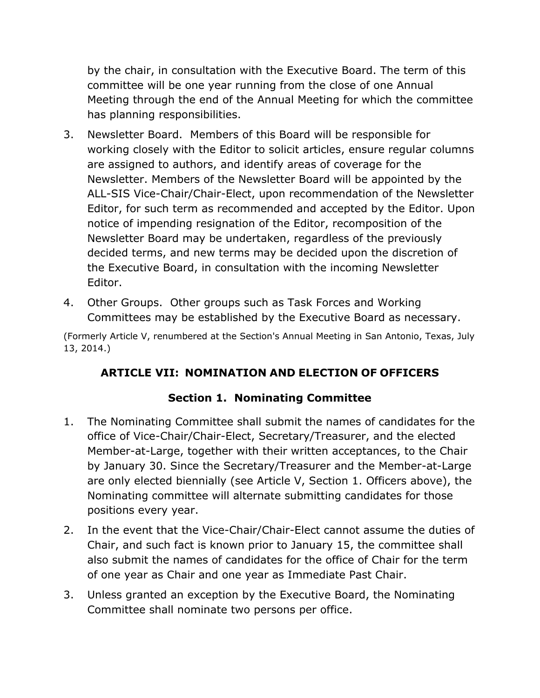by the chair, in consultation with the Executive Board. The term of this committee will be one year running from the close of one Annual Meeting through the end of the Annual Meeting for which the committee has planning responsibilities.

- 3. Newsletter Board. Members of this Board will be responsible for working closely with the Editor to solicit articles, ensure regular columns are assigned to authors, and identify areas of coverage for the Newsletter. Members of the Newsletter Board will be appointed by the ALL-SIS Vice-Chair/Chair-Elect, upon recommendation of the Newsletter Editor, for such term as recommended and accepted by the Editor. Upon notice of impending resignation of the Editor, recomposition of the Newsletter Board may be undertaken, regardless of the previously decided terms, and new terms may be decided upon the discretion of the Executive Board, in consultation with the incoming Newsletter Editor.
- 4. Other Groups. Other groups such as Task Forces and Working Committees may be established by the Executive Board as necessary.

(Formerly Article V, renumbered at the Section's Annual Meeting in San Antonio, Texas, July 13, 2014.)

# **ARTICLE VII: NOMINATION AND ELECTION OF OFFICERS**

# **Section 1. Nominating Committee**

- 1. The Nominating Committee shall submit the names of candidates for the office of Vice-Chair/Chair-Elect, Secretary/Treasurer, and the elected Member-at-Large, together with their written acceptances, to the Chair by January 30. Since the Secretary/Treasurer and the Member-at-Large are only elected biennially (see Article V, Section 1. Officers above), the Nominating committee will alternate submitting candidates for those positions every year.
- 2. In the event that the Vice-Chair/Chair-Elect cannot assume the duties of Chair, and such fact is known prior to January 15, the committee shall also submit the names of candidates for the office of Chair for the term of one year as Chair and one year as Immediate Past Chair.
- 3. Unless granted an exception by the Executive Board, the Nominating Committee shall nominate two persons per office.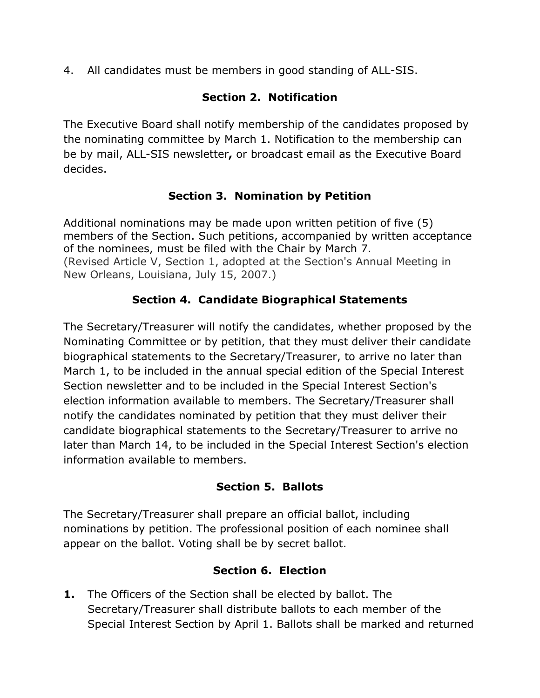4. All candidates must be members in good standing of ALL-SIS.

# **Section 2. Notification**

The Executive Board shall notify membership of the candidates proposed by the nominating committee by March 1. Notification to the membership can be by mail, ALL-SIS newsletter**,** or broadcast email as the Executive Board decides.

# **Section 3. Nomination by Petition**

Additional nominations may be made upon written petition of five (5) members of the Section. Such petitions, accompanied by written acceptance of the nominees, must be filed with the Chair by March 7. (Revised Article V, Section 1, adopted at the Section's Annual Meeting in New Orleans, Louisiana, July 15, 2007.)

# **Section 4. Candidate Biographical Statements**

The Secretary/Treasurer will notify the candidates, whether proposed by the Nominating Committee or by petition, that they must deliver their candidate biographical statements to the Secretary/Treasurer, to arrive no later than March 1, to be included in the annual special edition of the Special Interest Section newsletter and to be included in the Special Interest Section's election information available to members. The Secretary/Treasurer shall notify the candidates nominated by petition that they must deliver their candidate biographical statements to the Secretary/Treasurer to arrive no later than March 14, to be included in the Special Interest Section's election information available to members.

# **Section 5. Ballots**

The Secretary/Treasurer shall prepare an official ballot, including nominations by petition. The professional position of each nominee shall appear on the ballot. Voting shall be by secret ballot.

# **Section 6. Election**

**1.** The Officers of the Section shall be elected by ballot. The Secretary/Treasurer shall distribute ballots to each member of the Special Interest Section by April 1. Ballots shall be marked and returned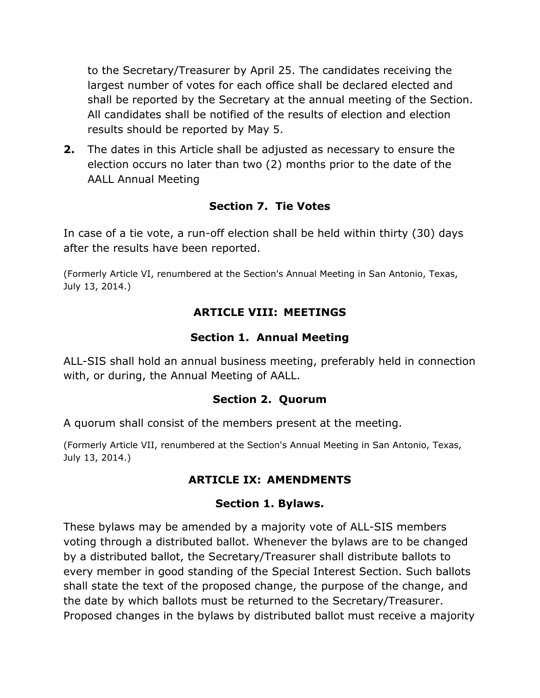to the Secretary/Treasurer by April 25. The candidates receiving the largest number of votes for each office shall be declared elected and shall be reported by the Secretary at the annual meeting of the Section. All candidates shall be notified of the results of election and election results should be reported by May 5.

**2.** The dates in this Article shall be adjusted as necessary to ensure the election occurs no later than two (2) months prior to the date of the AALL Annual Meeting

#### **Section 7. Tie Votes**

In case of a tie vote, a run-off election shall be held within thirty (30) days after the results have been reported.

(Formerly Article VI, renumbered at the Section's Annual Meeting in San Antonio, Texas, July 13, 2014.)

### **ARTICLE VIII: MEETINGS**

### **Section 1. Annual Meeting**

ALL-SIS shall hold an annual business meeting, preferably held in connection with, or during, the Annual Meeting of AALL.

#### **Section 2. Quorum**

A quorum shall consist of the members present at the meeting.

(Formerly Article VII, renumbered at the Section's Annual Meeting in San Antonio, Texas, July 13, 2014.)

# **ARTICLE IX: AMENDMENTS**

#### **Section 1. Bylaws.**

These bylaws may be amended by a majority vote of ALL-SIS members voting through a distributed ballot. Whenever the bylaws are to be changed by a distributed ballot, the Secretary/Treasurer shall distribute ballots to every member in good standing of the Special Interest Section. Such ballots shall state the text of the proposed change, the purpose of the change, and the date by which ballots must be returned to the Secretary/Treasurer. Proposed changes in the bylaws by distributed ballot must receive a majority